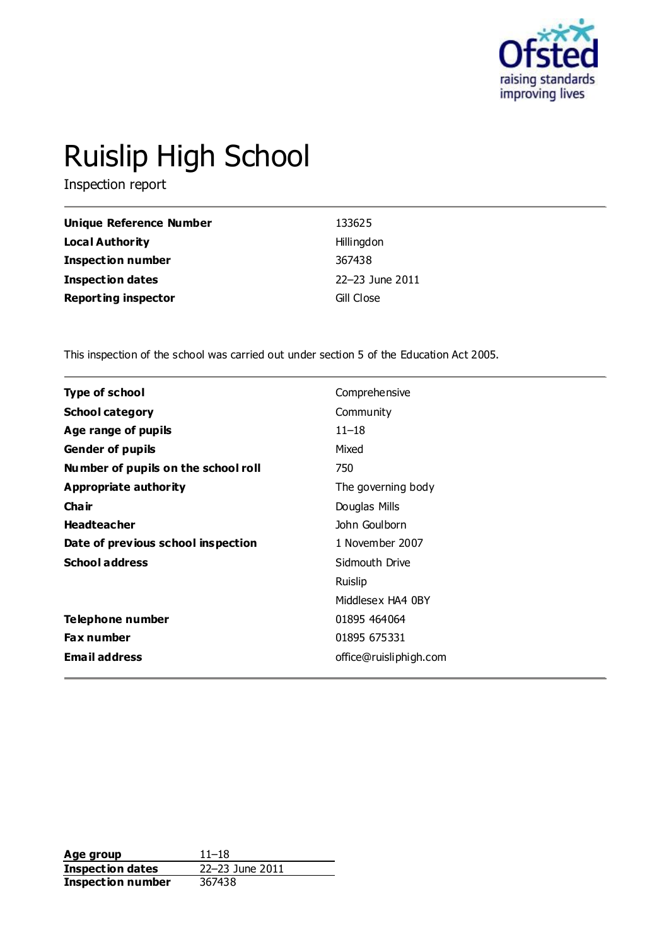

# Ruislip High School

Inspection report

| <b>Unique Reference Number</b> | 133625          |
|--------------------------------|-----------------|
| <b>Local Authority</b>         | Hillingdon      |
| <b>Inspection number</b>       | 367438          |
| Inspection dates               | 22-23 June 2011 |
| <b>Reporting inspector</b>     | Gill Close      |

This inspection of the school was carried out under section 5 of the Education Act 2005.

| Type of school                      | Comprehensive          |
|-------------------------------------|------------------------|
| <b>School category</b>              | Community              |
| Age range of pupils                 | $11 - 18$              |
| <b>Gender of pupils</b>             | Mixed                  |
| Number of pupils on the school roll | 750                    |
| Appropriate authority               | The governing body     |
| Cha ir                              | Douglas Mills          |
| <b>Headteacher</b>                  | John Goulborn          |
| Date of previous school inspection  | 1 November 2007        |
| <b>School address</b>               | Sidmouth Drive         |
|                                     | Ruislip                |
|                                     | Middlesex HA4 0BY      |
| Telephone number                    | 01895 464064           |
| Fax number                          | 01895 675331           |
| <b>Email address</b>                | office@ruisliphigh.com |

**Age group** 11–18<br> **Inspection dates** 22–23 June 2011 **Inspection dates Inspection number** 367438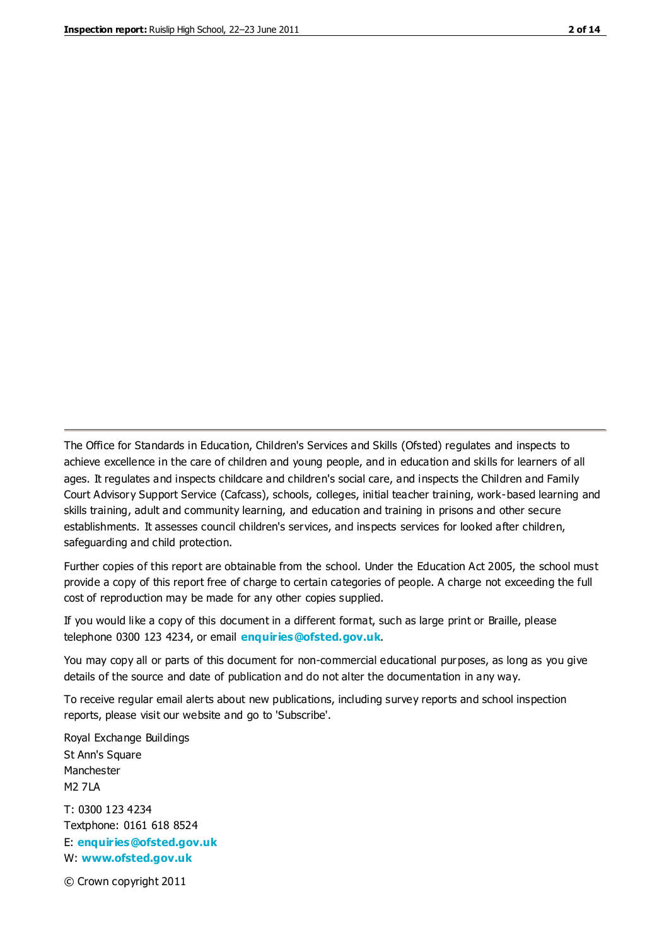The Office for Standards in Education, Children's Services and Skills (Ofsted) regulates and inspects to achieve excellence in the care of children and young people, and in education and skills for learners of all ages. It regulates and inspects childcare and children's social care, and inspects the Children and Family Court Advisory Support Service (Cafcass), schools, colleges, initial teacher training, work-based learning and skills training, adult and community learning, and education and training in prisons and other secure establishments. It assesses council children's services, and inspects services for looked after children, safeguarding and child protection.

Further copies of this report are obtainable from the school. Under the Education Act 2005, the school must provide a copy of this report free of charge to certain categories of people. A charge not exceeding the full cost of reproduction may be made for any other copies supplied.

If you would like a copy of this document in a different format, such as large print or Braille, please telephone 0300 123 4234, or email **[enquiries@ofsted.gov.uk](mailto:enquiries@ofsted.gov.uk)**.

You may copy all or parts of this document for non-commercial educational purposes, as long as you give details of the source and date of publication and do not alter the documentation in any way.

To receive regular email alerts about new publications, including survey reports and school inspection reports, please visit our website and go to 'Subscribe'.

Royal Exchange Buildings St Ann's Square Manchester M2 7LA T: 0300 123 4234 Textphone: 0161 618 8524 E: **[enquiries@ofsted.gov.uk](mailto:enquiries@ofsted.gov.uk)**

W: **[www.ofsted.gov.uk](http://www.ofsted.gov.uk/)**

© Crown copyright 2011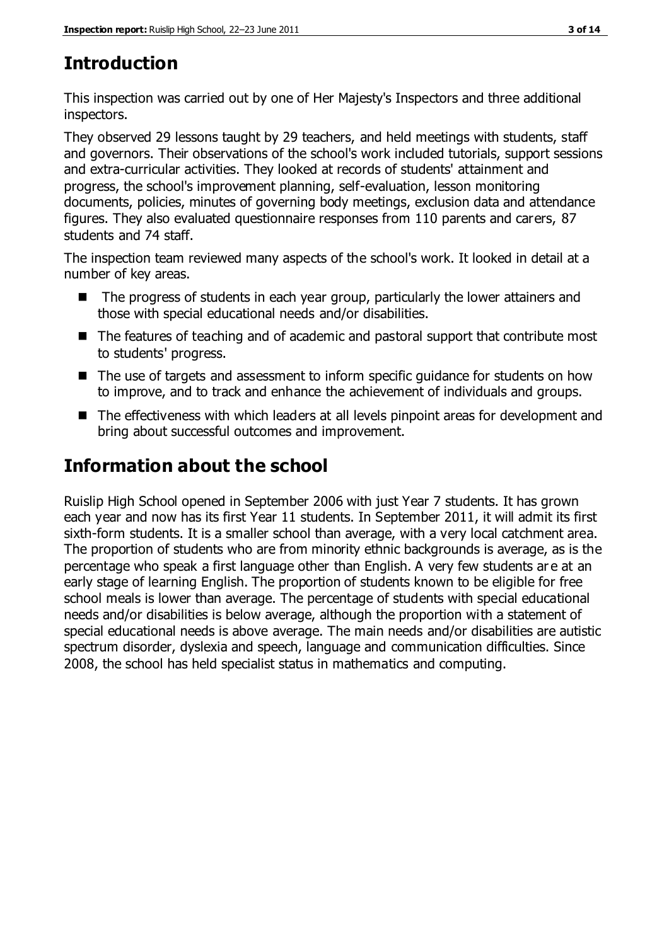# **Introduction**

This inspection was carried out by one of Her Majesty's Inspectors and three additional inspectors.

They observed 29 lessons taught by 29 teachers, and held meetings with students, staff and governors. Their observations of the school's work included tutorials, support sessions and extra-curricular activities. They looked at records of students' attainment and progress, the school's improvement planning, self-evaluation, lesson monitoring documents, policies, minutes of governing body meetings, exclusion data and attendance figures. They also evaluated questionnaire responses from 110 parents and carers, 87 students and 74 staff.

The inspection team reviewed many aspects of the school's work. It looked in detail at a number of key areas.

- The progress of students in each year group, particularly the lower attainers and those with special educational needs and/or disabilities.
- The features of teaching and of academic and pastoral support that contribute most to students' progress.
- The use of targets and assessment to inform specific guidance for students on how to improve, and to track and enhance the achievement of individuals and groups.
- The effectiveness with which leaders at all levels pinpoint areas for development and bring about successful outcomes and improvement.

# **Information about the school**

Ruislip High School opened in September 2006 with just Year 7 students. It has grown each year and now has its first Year 11 students. In September 2011, it will admit its first sixth-form students. It is a smaller school than average, with a very local catchment area. The proportion of students who are from minority ethnic backgrounds is average, as is the percentage who speak a first language other than English. A very few students ar e at an early stage of learning English. The proportion of students known to be eligible for free school meals is lower than average. The percentage of students with special educational needs and/or disabilities is below average, although the proportion with a statement of special educational needs is above average. The main needs and/or disabilities are autistic spectrum disorder, dyslexia and speech, language and communication difficulties. Since 2008, the school has held specialist status in mathematics and computing.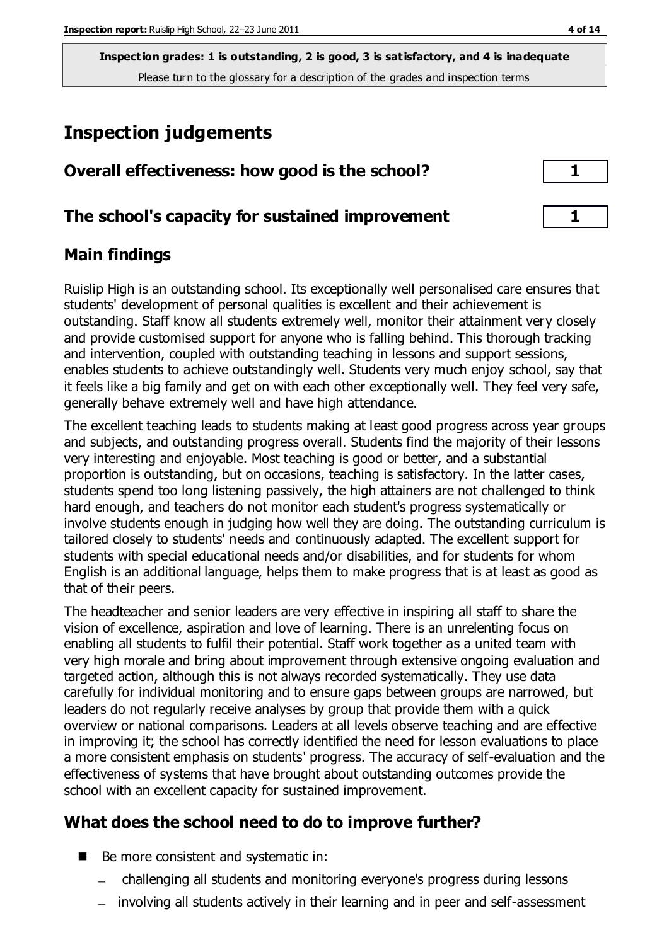# **Inspection judgements**

| Overall effectiveness: how good is the school?  |  |
|-------------------------------------------------|--|
| The school's capacity for sustained improvement |  |

## **Main findings**

Ruislip High is an outstanding school. Its exceptionally well personalised care ensures that students' development of personal qualities is excellent and their achievement is outstanding. Staff know all students extremely well, monitor their attainment very closely and provide customised support for anyone who is falling behind. This thorough tracking and intervention, coupled with outstanding teaching in lessons and support sessions, enables students to achieve outstandingly well. Students very much enjoy school, say that it feels like a big family and get on with each other exceptionally well. They feel very safe, generally behave extremely well and have high attendance.

The excellent teaching leads to students making at least good progress across year groups and subjects, and outstanding progress overall. Students find the majority of their lessons very interesting and enjoyable. Most teaching is good or better, and a substantial proportion is outstanding, but on occasions, teaching is satisfactory. In the latter cases, students spend too long listening passively, the high attainers are not challenged to think hard enough, and teachers do not monitor each student's progress systematically or involve students enough in judging how well they are doing. The outstanding curriculum is tailored closely to students' needs and continuously adapted. The excellent support for students with special educational needs and/or disabilities, and for students for whom English is an additional language, helps them to make progress that is at least as good as that of their peers.

The headteacher and senior leaders are very effective in inspiring all staff to share the vision of excellence, aspiration and love of learning. There is an unrelenting focus on enabling all students to fulfil their potential. Staff work together as a united team with very high morale and bring about improvement through extensive ongoing evaluation and targeted action, although this is not always recorded systematically. They use data carefully for individual monitoring and to ensure gaps between groups are narrowed, but leaders do not regularly receive analyses by group that provide them with a quick overview or national comparisons. Leaders at all levels observe teaching and are effective in improving it; the school has correctly identified the need for lesson evaluations to place a more consistent emphasis on students' progress. The accuracy of self-evaluation and the effectiveness of systems that have brought about outstanding outcomes provide the school with an excellent capacity for sustained improvement.

## **What does the school need to do to improve further?**

- Be more consistent and systematic in:
	- challenging all students and monitoring everyone's progress during lessons
	- involving all students actively in their learning and in peer and self-assessment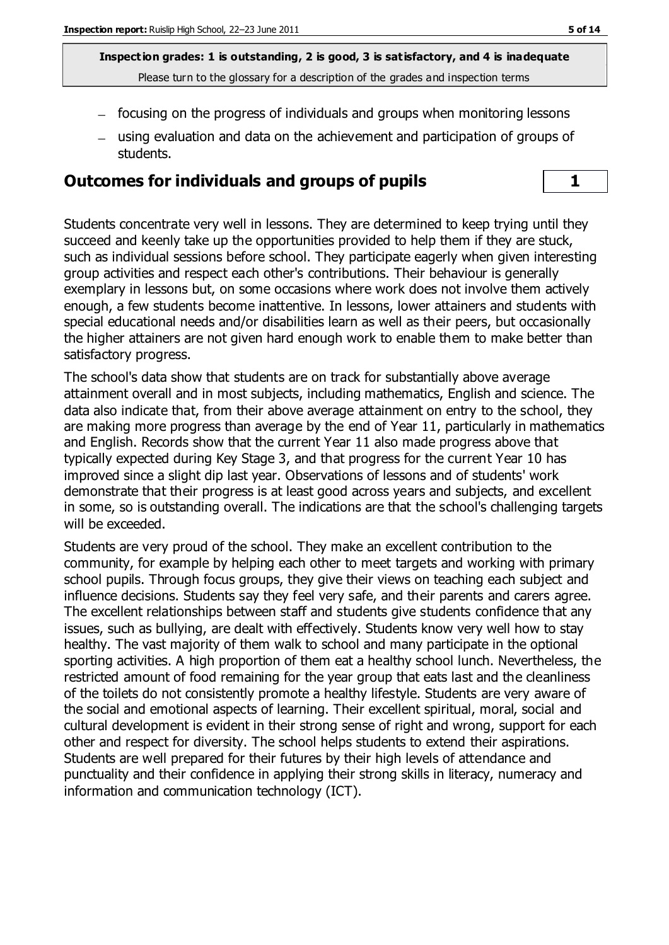- focusing on the progress of individuals and groups when monitoring lessons
- using evaluation and data on the achievement and participation of groups of students.

#### **Outcomes for individuals and groups of pupils 1**

Students concentrate very well in lessons. They are determined to keep trying until they succeed and keenly take up the opportunities provided to help them if they are stuck, such as individual sessions before school. They participate eagerly when given interesting group activities and respect each other's contributions. Their behaviour is generally exemplary in lessons but, on some occasions where work does not involve them actively enough, a few students become inattentive. In lessons, lower attainers and students with special educational needs and/or disabilities learn as well as their peers, but occasionally the higher attainers are not given hard enough work to enable them to make better than satisfactory progress.

The school's data show that students are on track for substantially above average attainment overall and in most subjects, including mathematics, English and science. The data also indicate that, from their above average attainment on entry to the school, they are making more progress than average by the end of Year 11, particularly in mathematics and English. Records show that the current Year 11 also made progress above that typically expected during Key Stage 3, and that progress for the current Year 10 has improved since a slight dip last year. Observations of lessons and of students' work demonstrate that their progress is at least good across years and subjects, and excellent in some, so is outstanding overall. The indications are that the school's challenging targets will be exceeded.

Students are very proud of the school. They make an excellent contribution to the community, for example by helping each other to meet targets and working with primary school pupils. Through focus groups, they give their views on teaching each subject and influence decisions. Students say they feel very safe, and their parents and carers agree. The excellent relationships between staff and students give students confidence that any issues, such as bullying, are dealt with effectively. Students know very well how to stay healthy. The vast majority of them walk to school and many participate in the optional sporting activities. A high proportion of them eat a healthy school lunch. Nevertheless, the restricted amount of food remaining for the year group that eats last and the cleanliness of the toilets do not consistently promote a healthy lifestyle. Students are very aware of the social and emotional aspects of learning. Their excellent spiritual, moral, social and cultural development is evident in their strong sense of right and wrong, support for each other and respect for diversity. The school helps students to extend their aspirations. Students are well prepared for their futures by their high levels of attendance and punctuality and their confidence in applying their strong skills in literacy, numeracy and information and communication technology (ICT).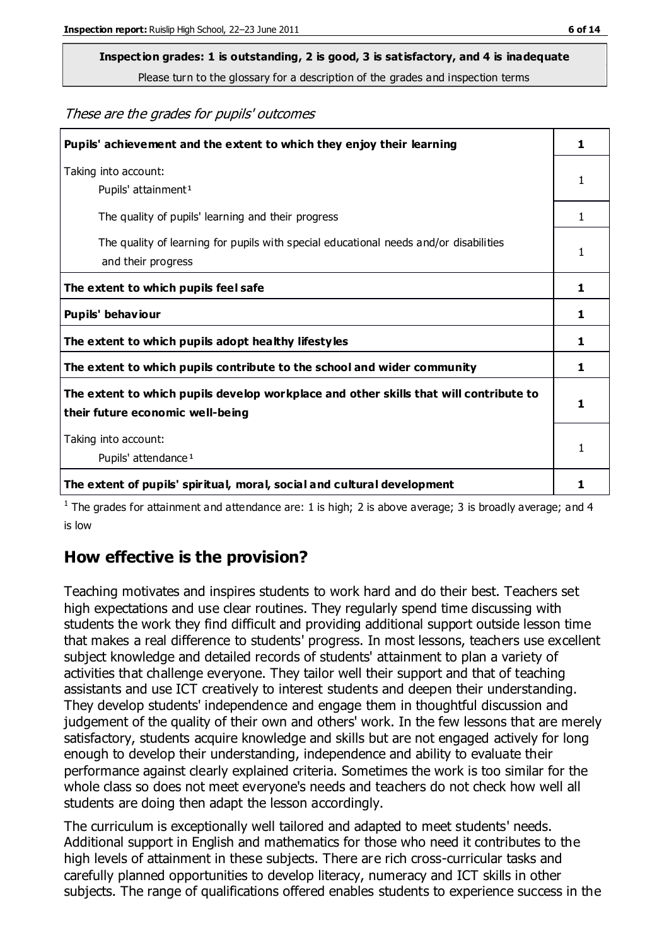# **Inspection grades: 1 is outstanding, 2 is good, 3 is satisfactory, and 4 is inadequate**

Please turn to the glossary for a description of the grades and inspection terms

These are the grades for pupils' outcomes

| Pupils' achievement and the extent to which they enjoy their learning                                                     |   |
|---------------------------------------------------------------------------------------------------------------------------|---|
| Taking into account:<br>Pupils' attainment <sup>1</sup>                                                                   | 1 |
| The quality of pupils' learning and their progress                                                                        | 1 |
| The quality of learning for pupils with special educational needs and/or disabilities<br>and their progress               | 1 |
| The extent to which pupils feel safe                                                                                      | 1 |
| Pupils' behaviour                                                                                                         | 1 |
| The extent to which pupils adopt healthy lifestyles                                                                       | 1 |
| The extent to which pupils contribute to the school and wider community                                                   | 1 |
| The extent to which pupils develop workplace and other skills that will contribute to<br>their future economic well-being | 1 |
| Taking into account:<br>Pupils' attendance <sup>1</sup>                                                                   |   |
| The extent of pupils' spiritual, moral, social and cultural development                                                   |   |

<sup>1</sup> The grades for attainment and attendance are: 1 is high; 2 is above average; 3 is broadly average; and 4 is low

## **How effective is the provision?**

Teaching motivates and inspires students to work hard and do their best. Teachers set high expectations and use clear routines. They regularly spend time discussing with students the work they find difficult and providing additional support outside lesson time that makes a real difference to students' progress. In most lessons, teachers use excellent subject knowledge and detailed records of students' attainment to plan a variety of activities that challenge everyone. They tailor well their support and that of teaching assistants and use ICT creatively to interest students and deepen their understanding. They develop students' independence and engage them in thoughtful discussion and judgement of the quality of their own and others' work. In the few lessons that are merely satisfactory, students acquire knowledge and skills but are not engaged actively for long enough to develop their understanding, independence and ability to evaluate their performance against clearly explained criteria. Sometimes the work is too similar for the whole class so does not meet everyone's needs and teachers do not check how well all students are doing then adapt the lesson accordingly.

The curriculum is exceptionally well tailored and adapted to meet students' needs. Additional support in English and mathematics for those who need it contributes to the high levels of attainment in these subjects. There are rich cross-curricular tasks and carefully planned opportunities to develop literacy, numeracy and ICT skills in other subjects. The range of qualifications offered enables students to experience success in the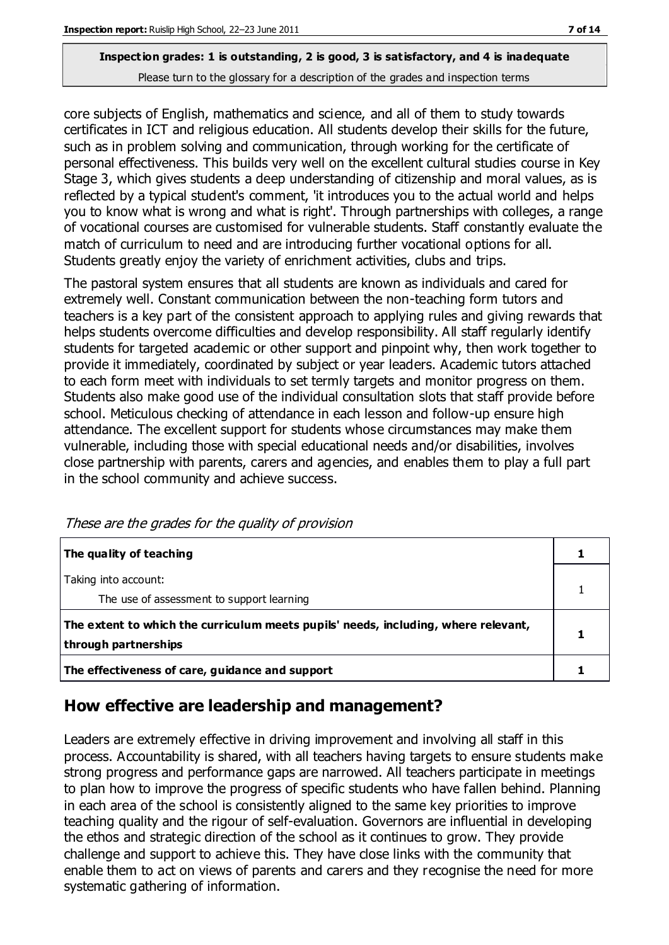core subjects of English, mathematics and science, and all of them to study towards certificates in ICT and religious education. All students develop their skills for the future, such as in problem solving and communication, through working for the certificate of personal effectiveness. This builds very well on the excellent cultural studies course in Key Stage 3, which gives students a deep understanding of citizenship and moral values, as is reflected by a typical student's comment, 'it introduces you to the actual world and helps you to know what is wrong and what is right'. Through partnerships with colleges, a range of vocational courses are customised for vulnerable students. Staff constantly evaluate the match of curriculum to need and are introducing further vocational options for all. Students greatly enjoy the variety of enrichment activities, clubs and trips.

The pastoral system ensures that all students are known as individuals and cared for extremely well. Constant communication between the non-teaching form tutors and teachers is a key part of the consistent approach to applying rules and giving rewards that helps students overcome difficulties and develop responsibility. All staff regularly identify students for targeted academic or other support and pinpoint why, then work together to provide it immediately, coordinated by subject or year leaders. Academic tutors attached to each form meet with individuals to set termly targets and monitor progress on them. Students also make good use of the individual consultation slots that staff provide before school. Meticulous checking of attendance in each lesson and follow-up ensure high attendance. The excellent support for students whose circumstances may make them vulnerable, including those with special educational needs and/or disabilities, involves close partnership with parents, carers and agencies, and enables them to play a full part in the school community and achieve success.

| The quality of teaching                                                                                    |  |
|------------------------------------------------------------------------------------------------------------|--|
| Taking into account:<br>The use of assessment to support learning                                          |  |
| The extent to which the curriculum meets pupils' needs, including, where relevant,<br>through partnerships |  |
| The effectiveness of care, guidance and support                                                            |  |

These are the grades for the quality of provision

## **How effective are leadership and management?**

Leaders are extremely effective in driving improvement and involving all staff in this process. Accountability is shared, with all teachers having targets to ensure students make strong progress and performance gaps are narrowed. All teachers participate in meetings to plan how to improve the progress of specific students who have fallen behind. Planning in each area of the school is consistently aligned to the same key priorities to improve teaching quality and the rigour of self-evaluation. Governors are influential in developing the ethos and strategic direction of the school as it continues to grow. They provide challenge and support to achieve this. They have close links with the community that enable them to act on views of parents and carers and they recognise the need for more systematic gathering of information.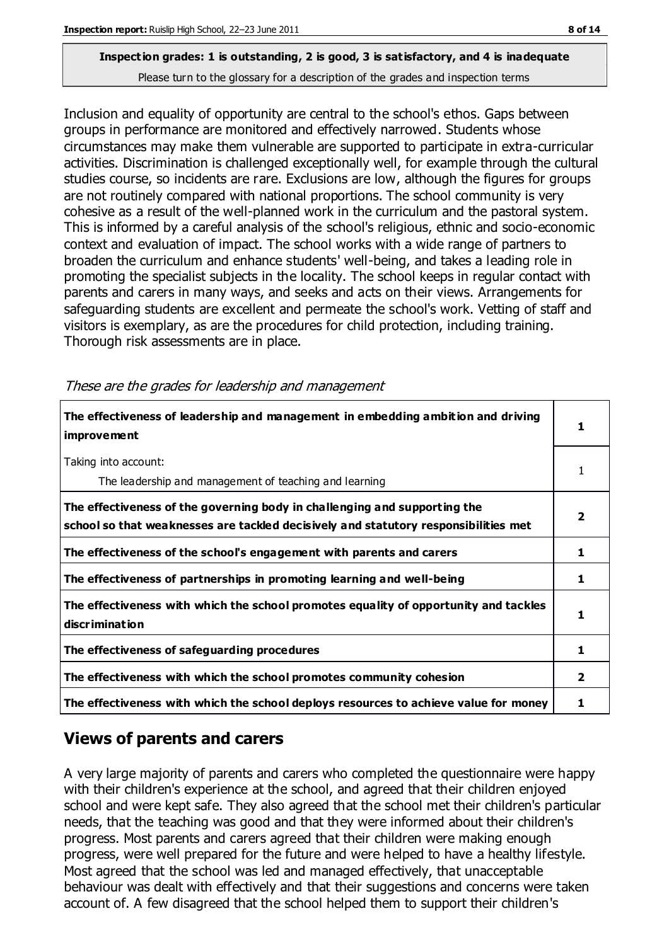Inclusion and equality of opportunity are central to the school's ethos. Gaps between groups in performance are monitored and effectively narrowed. Students whose circumstances may make them vulnerable are supported to participate in extra-curricular activities. Discrimination is challenged exceptionally well, for example through the cultural studies course, so incidents are rare. Exclusions are low, although the figures for groups are not routinely compared with national proportions. The school community is very cohesive as a result of the well-planned work in the curriculum and the pastoral system. This is informed by a careful analysis of the school's religious, ethnic and socio-economic context and evaluation of impact. The school works with a wide range of partners to broaden the curriculum and enhance students' well-being, and takes a leading role in promoting the specialist subjects in the locality. The school keeps in regular contact with parents and carers in many ways, and seeks and acts on their views. Arrangements for safeguarding students are excellent and permeate the school's work. Vetting of staff and visitors is exemplary, as are the procedures for child protection, including training. Thorough risk assessments are in place.

| 1 |
|---|
| 1 |
| 2 |
| 1 |
| 1 |
| 1 |
| 1 |
| 2 |
|   |

These are the grades for leadership and management

#### **Views of parents and carers**

A very large majority of parents and carers who completed the questionnaire were happy with their children's experience at the school, and agreed that their children enjoyed school and were kept safe. They also agreed that the school met their children's particular needs, that the teaching was good and that they were informed about their children's progress. Most parents and carers agreed that their children were making enough progress, were well prepared for the future and were helped to have a healthy lifestyle. Most agreed that the school was led and managed effectively, that unacceptable behaviour was dealt with effectively and that their suggestions and concerns were taken account of. A few disagreed that the school helped them to support their children's

**The effectiveness with which the school deploys resources to achieve value for money 1**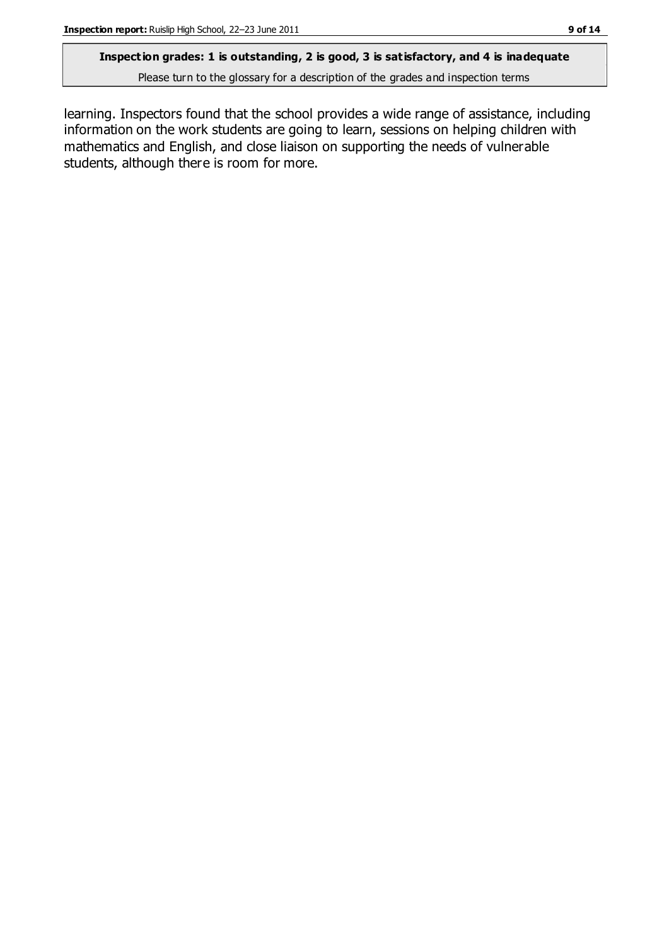## **Inspection grades: 1 is outstanding, 2 is good, 3 is satisfactory, and 4 is inadequate**

Please turn to the glossary for a description of the grades and inspection terms

learning. Inspectors found that the school provides a wide range of assistance, including information on the work students are going to learn, sessions on helping children with mathematics and English, and close liaison on supporting the needs of vulnerable students, although there is room for more.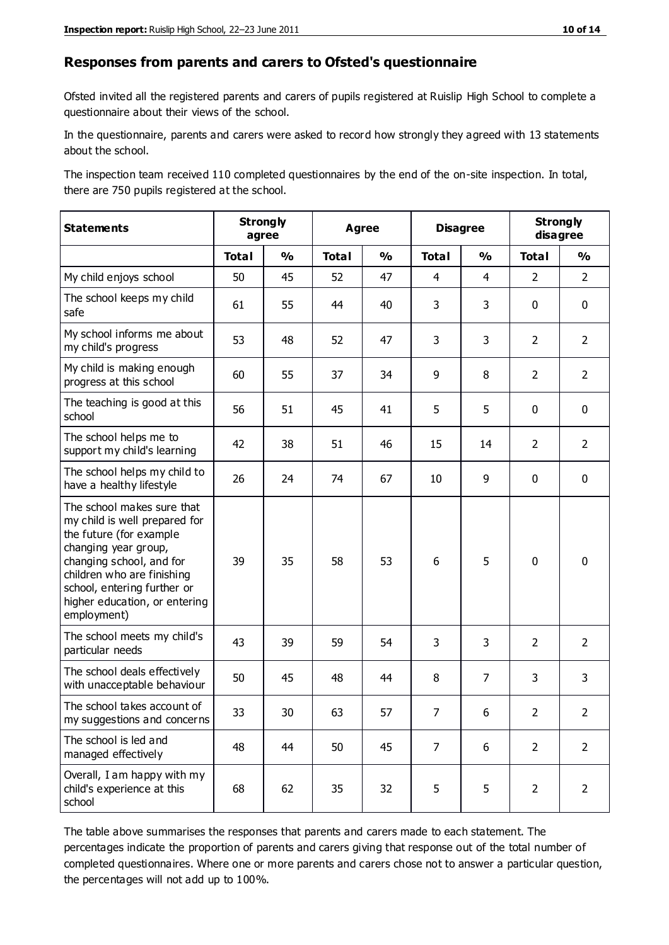#### **Responses from parents and carers to Ofsted's questionnaire**

Ofsted invited all the registered parents and carers of pupils registered at Ruislip High School to complete a questionnaire about their views of the school.

In the questionnaire, parents and carers were asked to record how strongly they agreed with 13 statements about the school.

The inspection team received 110 completed questionnaires by the end of the on-site inspection. In total, there are 750 pupils registered at the school.

| <b>Statements</b>                                                                                                                                                                                                                                       | <b>Strongly</b><br>agree |               | <b>Agree</b> |               | <b>Disagree</b> |                | <b>Strongly</b><br>disagree |                |
|---------------------------------------------------------------------------------------------------------------------------------------------------------------------------------------------------------------------------------------------------------|--------------------------|---------------|--------------|---------------|-----------------|----------------|-----------------------------|----------------|
|                                                                                                                                                                                                                                                         | <b>Total</b>             | $\frac{1}{2}$ | <b>Total</b> | $\frac{0}{0}$ | <b>Total</b>    | $\frac{0}{0}$  | <b>Total</b>                | $\frac{9}{0}$  |
| My child enjoys school                                                                                                                                                                                                                                  | 50                       | 45            | 52           | 47            | $\overline{4}$  | $\overline{4}$ | $\overline{2}$              | $\overline{2}$ |
| The school keeps my child<br>safe                                                                                                                                                                                                                       | 61                       | 55            | 44           | 40            | 3               | 3              | $\mathbf 0$                 | $\mathbf 0$    |
| My school informs me about<br>my child's progress                                                                                                                                                                                                       | 53                       | 48            | 52           | 47            | 3               | 3              | $\overline{2}$              | $\overline{2}$ |
| My child is making enough<br>progress at this school                                                                                                                                                                                                    | 60                       | 55            | 37           | 34            | 9               | 8              | $\overline{2}$              | $\overline{2}$ |
| The teaching is good at this<br>school                                                                                                                                                                                                                  | 56                       | 51            | 45           | 41            | 5               | 5              | $\mathbf 0$                 | $\mathbf 0$    |
| The school helps me to<br>support my child's learning                                                                                                                                                                                                   | 42                       | 38            | 51           | 46            | 15              | 14             | $\overline{2}$              | $\overline{2}$ |
| The school helps my child to<br>have a healthy lifestyle                                                                                                                                                                                                | 26                       | 24            | 74           | 67            | 10              | 9              | $\mathbf 0$                 | $\mathbf 0$    |
| The school makes sure that<br>my child is well prepared for<br>the future (for example<br>changing year group,<br>changing school, and for<br>children who are finishing<br>school, entering further or<br>higher education, or entering<br>employment) | 39                       | 35            | 58           | 53            | 6               | 5              | $\mathbf 0$                 | $\mathbf 0$    |
| The school meets my child's<br>particular needs                                                                                                                                                                                                         | 43                       | 39            | 59           | 54            | 3               | 3              | $\overline{2}$              | $\overline{2}$ |
| The school deals effectively<br>with unacceptable behaviour                                                                                                                                                                                             | 50                       | 45            | 48           | 44            | 8               | $\overline{7}$ | 3                           | 3              |
| The school takes account of<br>my suggestions and concerns                                                                                                                                                                                              | 33                       | 30            | 63           | 57            | 7               | 6              | $\overline{2}$              | $\mathcal{P}$  |
| The school is led and<br>managed effectively                                                                                                                                                                                                            | 48                       | 44            | 50           | 45            | $\overline{7}$  | 6              | $\overline{2}$              | $\overline{2}$ |
| Overall, I am happy with my<br>child's experience at this<br>school                                                                                                                                                                                     | 68                       | 62            | 35           | 32            | 5               | 5              | $\overline{2}$              | $\overline{2}$ |

The table above summarises the responses that parents and carers made to each statement. The percentages indicate the proportion of parents and carers giving that response out of the total number of completed questionnaires. Where one or more parents and carers chose not to answer a particular question, the percentages will not add up to 100%.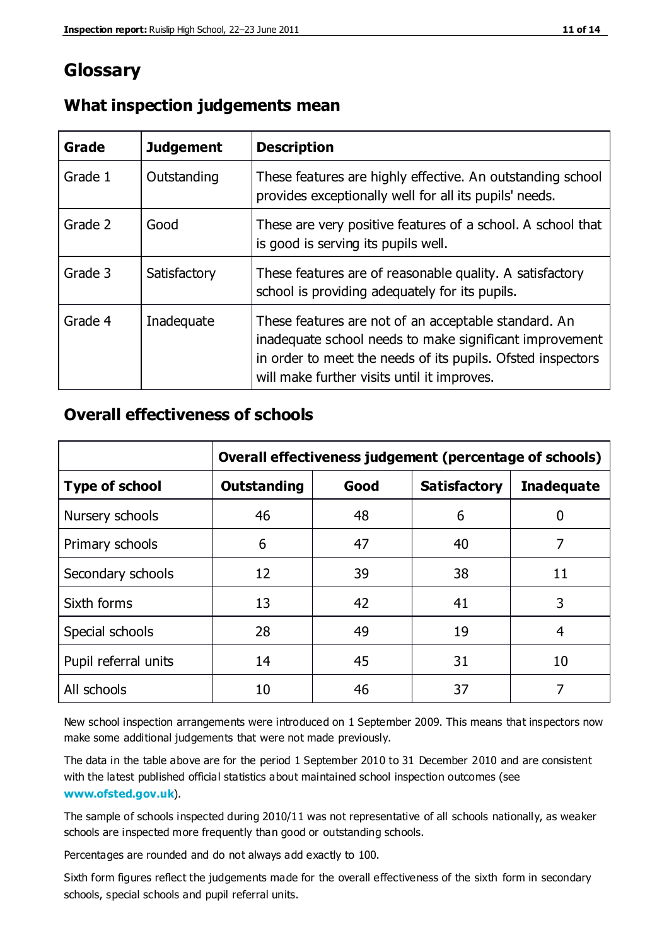## **Glossary**

| Grade   | <b>Judgement</b> | <b>Description</b>                                                                                                                                                                                                            |
|---------|------------------|-------------------------------------------------------------------------------------------------------------------------------------------------------------------------------------------------------------------------------|
| Grade 1 | Outstanding      | These features are highly effective. An outstanding school<br>provides exceptionally well for all its pupils' needs.                                                                                                          |
| Grade 2 | Good             | These are very positive features of a school. A school that<br>is good is serving its pupils well.                                                                                                                            |
| Grade 3 | Satisfactory     | These features are of reasonable quality. A satisfactory<br>school is providing adequately for its pupils.                                                                                                                    |
| Grade 4 | Inadequate       | These features are not of an acceptable standard. An<br>inadequate school needs to make significant improvement<br>in order to meet the needs of its pupils. Ofsted inspectors<br>will make further visits until it improves. |

#### **What inspection judgements mean**

#### **Overall effectiveness of schools**

|                       | Overall effectiveness judgement (percentage of schools) |      |                     |                   |
|-----------------------|---------------------------------------------------------|------|---------------------|-------------------|
| <b>Type of school</b> | <b>Outstanding</b>                                      | Good | <b>Satisfactory</b> | <b>Inadequate</b> |
| Nursery schools       | 46                                                      | 48   | 6                   |                   |
| Primary schools       | 6                                                       | 47   | 40                  | 7                 |
| Secondary schools     | 12                                                      | 39   | 38                  | 11                |
| Sixth forms           | 13                                                      | 42   | 41                  | 3                 |
| Special schools       | 28                                                      | 49   | 19                  | 4                 |
| Pupil referral units  | 14                                                      | 45   | 31                  | 10                |
| All schools           | 10                                                      | 46   | 37                  |                   |

New school inspection arrangements were introduced on 1 September 2009. This means that inspectors now make some additional judgements that were not made previously.

The data in the table above are for the period 1 September 2010 to 31 December 2010 and are consistent with the latest published official statistics about maintained school inspection outcomes (see **[www.ofsted.gov.uk](http://www.ofsted.gov.uk/)**).

The sample of schools inspected during 2010/11 was not representative of all schools nationally, as weaker schools are inspected more frequently than good or outstanding schools.

Percentages are rounded and do not always add exactly to 100.

Sixth form figures reflect the judgements made for the overall effectiveness of the sixth form in secondary schools, special schools and pupil referral units.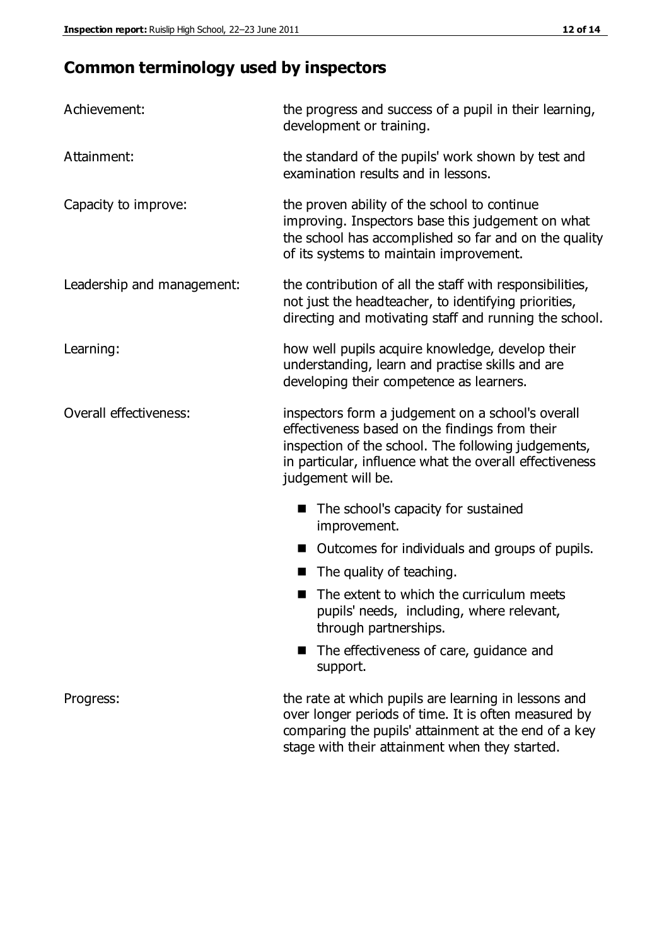# **Common terminology used by inspectors**

| Achievement:               | the progress and success of a pupil in their learning,<br>development or training.                                                                                                                                                          |  |  |
|----------------------------|---------------------------------------------------------------------------------------------------------------------------------------------------------------------------------------------------------------------------------------------|--|--|
| Attainment:                | the standard of the pupils' work shown by test and<br>examination results and in lessons.                                                                                                                                                   |  |  |
| Capacity to improve:       | the proven ability of the school to continue<br>improving. Inspectors base this judgement on what<br>the school has accomplished so far and on the quality<br>of its systems to maintain improvement.                                       |  |  |
| Leadership and management: | the contribution of all the staff with responsibilities,<br>not just the headteacher, to identifying priorities,<br>directing and motivating staff and running the school.                                                                  |  |  |
| Learning:                  | how well pupils acquire knowledge, develop their<br>understanding, learn and practise skills and are<br>developing their competence as learners.                                                                                            |  |  |
| Overall effectiveness:     | inspectors form a judgement on a school's overall<br>effectiveness based on the findings from their<br>inspection of the school. The following judgements,<br>in particular, influence what the overall effectiveness<br>judgement will be. |  |  |
|                            | The school's capacity for sustained<br>improvement.                                                                                                                                                                                         |  |  |
|                            | Outcomes for individuals and groups of pupils.                                                                                                                                                                                              |  |  |
|                            | The quality of teaching.                                                                                                                                                                                                                    |  |  |
|                            | The extent to which the curriculum meets<br>pupils' needs, including, where relevant,<br>through partnerships.                                                                                                                              |  |  |
|                            | The effectiveness of care, guidance and<br>support.                                                                                                                                                                                         |  |  |
| Progress:                  | the rate at which pupils are learning in lessons and<br>over longer periods of time. It is often measured by<br>comparing the pupils' attainment at the end of a key                                                                        |  |  |

stage with their attainment when they started.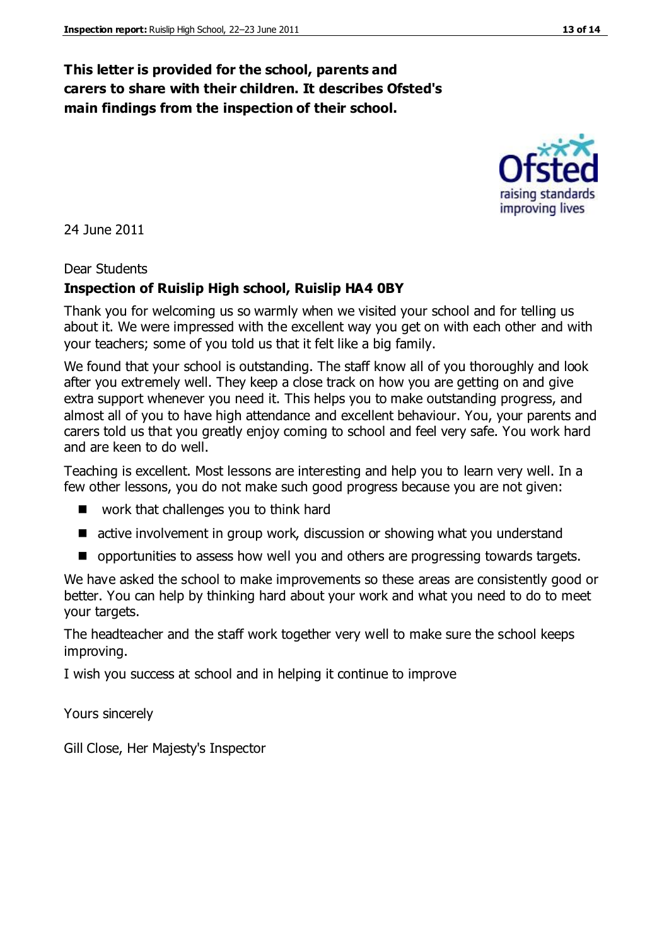## **This letter is provided for the school, parents and carers to share with their children. It describes Ofsted's main findings from the inspection of their school.**

24 June 2011

#### Dear Students

#### **Inspection of Ruislip High school, Ruislip HA4 0BY**

Thank you for welcoming us so warmly when we visited your school and for telling us about it. We were impressed with the excellent way you get on with each other and with your teachers; some of you told us that it felt like a big family.

We found that your school is outstanding. The staff know all of you thoroughly and look after you extremely well. They keep a close track on how you are getting on and give extra support whenever you need it. This helps you to make outstanding progress, and almost all of you to have high attendance and excellent behaviour. You, your parents and carers told us that you greatly enjoy coming to school and feel very safe. You work hard and are keen to do well.

Teaching is excellent. Most lessons are interesting and help you to learn very well. In a few other lessons, you do not make such good progress because you are not given:

- work that challenges you to think hard
- active involvement in group work, discussion or showing what you understand
- $\blacksquare$  opportunities to assess how well you and others are progressing towards targets.

We have asked the school to make improvements so these areas are consistently good or better. You can help by thinking hard about your work and what you need to do to meet your targets.

The headteacher and the staff work together very well to make sure the school keeps improving.

I wish you success at school and in helping it continue to improve

Yours sincerely

Gill Close, Her Majesty's Inspector